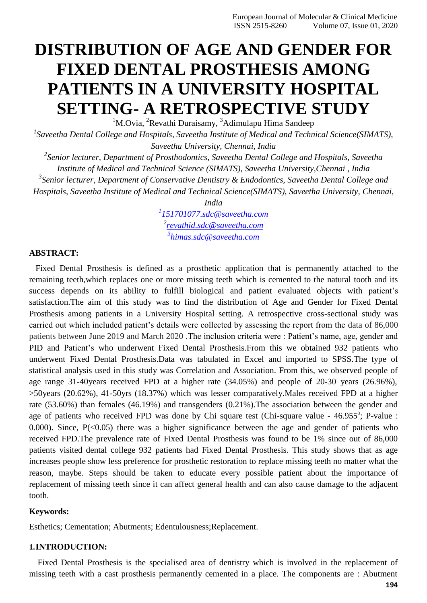# **DISTRIBUTION OF AGE AND GENDER FOR FIXED DENTAL PROSTHESIS AMONG PATIENTS IN A UNIVERSITY HOSPITAL SETTING- A RETROSPECTIVE STUDY**

 $1$ M.Ovia,  $2$ Revathi Duraisamy,  $3$ Adimulapu Hima Sandeep

*1 Saveetha Dental College and Hospitals, Saveetha Institute of Medical and Technical Science(SIMATS), Saveetha University, Chennai, India*

*2 Senior lecturer, Department of Prosthodontics, Saveetha Dental College and Hospitals, Saveetha Institute of Medical and Technical Science (SIMATS), Saveetha University,Chennai , India 3 Senior lecturer, Department of Conservative Dentistry & Endodontics, Saveetha Dental College and Hospitals, Saveetha Institute of Medical and Technical Science(SIMATS), Saveetha University, Chennai,*

*India*

*1 [151701077.sdc@saveetha.com](mailto:1151701077.sdc@saveetha.com) 2 [revathid.sdc@saveetha.com](mailto:revathid.sdc@saveetha.com) 3 [himas.sdc@saveetha.com](mailto:3himas.sdc@saveetha.com)*

# **ABSTRACT:**

Fixed Dental Prosthesis is defined as a prosthetic application that is permanently attached to the remaining teeth,which replaces one or more missing teeth which is cemented to the natural tooth and its success depends on its ability to fulfill biological and patient evaluated objects with patient's satisfaction.The aim of this study was to find the distribution of Age and Gender for Fixed Dental Prosthesis among patients in a University Hospital setting. A retrospective cross-sectional study was carried out which included patient's details were collected by assessing the report from the data of 86,000 patients between June 2019 and March 2020 .The inclusion criteria were : Patient's name, age, gender and PID and Patient's who underwent Fixed Dental Prosthesis.From this we obtained 932 patients who underwent Fixed Dental Prosthesis.Data was tabulated in Excel and imported to SPSS.The type of statistical analysis used in this study was Correlation and Association. From this, we observed people of age range 31-40years received FPD at a higher rate (34.05%) and people of 20-30 years (26.96%), >50years (20.62%), 41-50yrs (18.37%) which was lesser comparatively.Males received FPD at a higher rate (53.60%) than females (46.19%) and transgenders (0.21%).The association between the gender and age of patients who received FPD was done by Chi square test (Chi-square value - 46.955<sup>a</sup>; P-value : 0.000). Since,  $P(\le 0.05)$  there was a higher significance between the age and gender of patients who received FPD.The prevalence rate of Fixed Dental Prosthesis was found to be 1% since out of 86,000 patients visited dental college 932 patients had Fixed Dental Prosthesis. This study shows that as age increases people show less preference for prosthetic restoration to replace missing teeth no matter what the reason, maybe. Steps should be taken to educate every possible patient about the importance of replacement of missing teeth since it can affect general health and can also cause damage to the adjacent tooth.

#### **Keywords:**

Esthetics; Cementation; Abutments; Edentulousness;Replacement.

# **1.INTRODUCTION:**

Fixed Dental Prosthesis is the specialised area of dentistry which is involved in the replacement of missing teeth with a cast prosthesis permanently cemented in a place. The components are : Abutment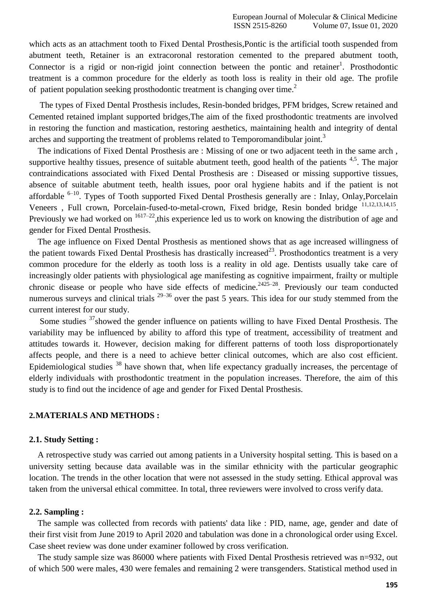which acts as an attachment tooth to Fixed Dental Prosthesis,Pontic is the artificial tooth suspended from abutment teeth, Retainer is an extracoronal restoration cemented to the prepared abutment tooth, Connector is a rigid or non-rigid joint connection between the pontic and retainer<sup>1</sup>[.](https://paperpile.com/c/eiZwGE/m4RM) Prosthodontic treatment is a common procedure for the elderly as tooth loss is reality in their old age. The profile of patient population seeking prosthodontic treatment is changing over time.<sup>[2](https://paperpile.com/c/eiZwGE/ZfPF)</sup>

The types of Fixed Dental Prosthesis includes, Resin-bonded bridges, PFM bridges, Screw retained and Cemented retained implant supported bridges,The aim of the fixed prosthodontic treatments are involved in restoring the function and mastication, restoring aesthetics, maintaining health and integrity of dental arches and supporting the treatment of problems related to Temporomandibular joint.<sup>[3](https://paperpile.com/c/eiZwGE/YKNF)</sup>

The indications of Fixed Dental Prosthesis are : Missing of one or two adjacent teeth in the same arch , supportive healthy tissues, presence of suitable abutment teeth, good health of the patients  $4,5$ . The major contraindications associated with Fixed Dental Prosthesis are : Diseased or missing supportive tissues, absence of suitable abutment teeth, health issues, poor oral hygiene habits and if the patient is not affordable  $6-10$ . Types of Tooth supported Fixed Dental Prosthesis generally are : Inlay, Onlay, Porcelain Veneers, Full crown, Porcelain-fused-to-metal-crown, Fixed bridge, Resin bonded bridge  $^{11,12,13,14,15}$  $^{11,12,13,14,15}$  $^{11,12,13,14,15}$  $^{11,12,13,14,15}$ . Previously we had worked on  $1617-22$ , this experience led us to work on knowing the distribution of age and gender for Fixed Dental Prosthesis.

The age influence on Fixed Dental Prosthesis as mentioned shows that as age increased willingness of the patient towards Fixed Dental Prosthesis has drastically increased<sup>[23](https://paperpile.com/c/eiZwGE/guE9)</sup>. Prosthodontics treatment is a very common procedure for the elderly as tooth loss is a reality in old age. Dentists usually take care of increasingly older patients with physiological age manifesting as cognitive impairment, frailty or multiple chronic disease or people who have side effects of medicine.<sup>2425-28</sup>. Previously our team conducted numerous surveys and clinical trials  $29-36$  over the past 5 years. This idea for our study stemmed from the current interest for our study.

Some studies <sup>[37](https://paperpile.com/c/eiZwGE/SW4M)</sup>showed the gender influence on patients willing to have Fixed Dental Prosthesis. The variability may be influenced by ability to afford this type of treatment, accessibility of treatment and attitudes towards it. However, decision making for different patterns of tooth loss disproportionately affects people, and there is a need to achieve better clinical outcomes, which are also cost efficient. Epidemiological studies <sup>[38](https://paperpile.com/c/eiZwGE/iEhK)</sup> have shown that, when life expectancy gradually increases, the percentage of elderly individuals with prosthodontic treatment in the population increases. Therefore, the aim of this study is to find out the incidence of age and gender for Fixed Dental Prosthesis.

# **2.MATERIALS AND METHODS :**

#### **2.1. Study Setting :**

A retrospective study was carried out among patients in a University hospital setting. This is based on a university setting because data available was in the similar ethnicity with the particular geographic location. The trends in the other location that were not assessed in the study setting. Ethical approval was taken from the universal ethical committee. In total, three reviewers were involved to cross verify data.

## **2.2. Sampling :**

The sample was collected from records with patients' data like : PID, name, age, gender and date of their first visit from June 2019 to April 2020 and tabulation was done in a chronological order using Excel. Case sheet review was done under examiner followed by cross verification.

The study sample size was 86000 where patients with Fixed Dental Prosthesis retrieved was n=932, out of which 500 were males, 430 were females and remaining 2 were transgenders. Statistical method used in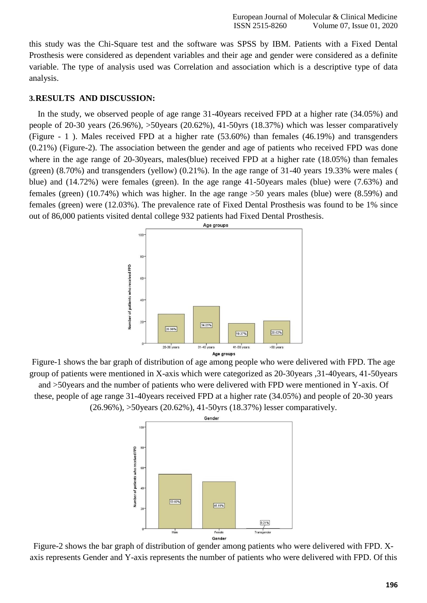this study was the Chi-Square test and the software was SPSS by IBM. Patients with a Fixed Dental Prosthesis were considered as dependent variables and their age and gender were considered as a definite variable. The type of analysis used was Correlation and association which is a descriptive type of data analysis.

# **3.RESULTS AND DISCUSSION:**

In the study, we observed people of age range 31-40years received FPD at a higher rate (34.05%) and people of 20-30 years (26.96%), >50years (20.62%), 41-50yrs (18.37%) which was lesser comparatively (Figure - 1 ). Males received FPD at a higher rate (53.60%) than females (46.19%) and transgenders (0.21%) (Figure-2). The association between the gender and age of patients who received FPD was done where in the age range of 20-30years, males(blue) received FPD at a higher rate (18.05%) than females (green) (8.70%) and transgenders (yellow) (0.21%). In the age range of 31-40 years 19.33% were males ( blue) and (14.72%) were females (green). In the age range 41-50years males (blue) were (7.63%) and females (green) (10.74%) which was higher. In the age range >50 years males (blue) were (8.59%) and females (green) were (12.03%). The prevalence rate of Fixed Dental Prosthesis was found to be 1% since out of 86,000 patients visited dental college 932 patients had Fixed Dental Prosthesis.



Figure-1 shows the bar graph of distribution of age among people who were delivered with FPD. The age group of patients were mentioned in X-axis which were categorized as 20-30years ,31-40years, 41-50years and >50years and the number of patients who were delivered with FPD were mentioned in Y-axis. Of these, people of age range 31-40years received FPD at a higher rate (34.05%) and people of 20-30 years (26.96%), >50years (20.62%), 41-50yrs (18.37%) lesser comparatively.



Figure-2 shows the bar graph of distribution of gender among patients who were delivered with FPD. Xaxis represents Gender and Y-axis represents the number of patients who were delivered with FPD. Of this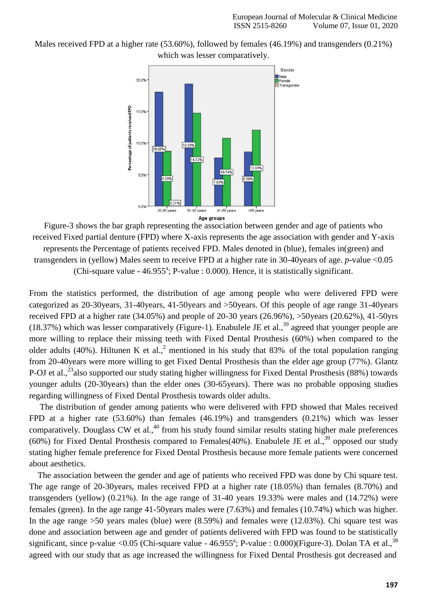Males received FPD at a higher rate (53.60%), followed by females (46.19%) and transgenders (0.21%) which was lesser comparatively.



Figure-3 shows the bar graph representing the association between gender and age of patients who received Fixed partial denture (FPD) where X-axis represents the age association with gender and Y-axis represents the Percentage of patients received FPD. Males denoted in (blue), females in(green) and transgenders in (yellow) Males seem to receive FPD at a higher rate in 30-40years of age. *p*-value <0.05 (Chi-square value -  $46.955^{\text{a}}$ ; P-value : 0.000). Hence, it is statistically significant.

From the statistics performed, the distribution of age among people who were delivered FPD were categorized as 20-30years, 31-40years, 41-50years and >50years. Of this people of age range 31-40years received FPD at a higher rate (34.05%) and people of 20-30 years (26.96%), >50years (20.62%), 41-50yrs (18.37%) which was lesser comparatively (Figure-1). [Enabulele JE e](http://paperpile.com/b/eiZwGE/QhWk)t al.,<sup>[39](https://paperpile.com/c/eiZwGE/QhWk)</sup> agreed that younger people are more willing to replace their missing teeth with Fixed Dental Prosthesis (60%) when compared to the older adults (40%). [Hiltunen K e](http://paperpile.com/b/eiZwGE/ZfPF)t al.,<sup>[2](https://paperpile.com/c/eiZwGE/ZfPF)</sup> mentioned in his study that 83% of the total population ranging from 20-40years were more willing to get Fixed Dental Prosthesis than the elder age group (77%). [Glantz](http://paperpile.com/b/eiZwGE/guE9) [P-OJ e](http://paperpile.com/b/eiZwGE/guE9)t al.,<sup>[23](https://paperpile.com/c/eiZwGE/guE9)</sup> also supported our study stating higher willingness for Fixed Dental Prosthesis (88%) towards younger adults (20-30years) than the elder ones (30-65years). There was no probable opposing studies regarding willingness of Fixed Dental Prosthesis towards older adults.

The distribution of gender among patients who were delivered with FPD showed that Males received FPD at a higher rate (53.60%) than females (46.19%) and transgenders (0.21%) which was lesser comparatively. [Douglass CW e](http://paperpile.com/b/eiZwGE/Tq2F)t al., $40$  from his study found similar results stating higher male preferences (60%) for Fixed Dental Prosthesis compared to Females(40%). [Enabulele JE e](http://paperpile.com/b/eiZwGE/QhWk)t al., $^{39}$  $^{39}$  $^{39}$  opposed our study stating higher female preference for Fixed Dental Prosthesis because more female patients were concerned about aesthetics.

The association between the gender and age of patients who received FPD was done by Chi square test. The age range of 20-30years, males received FPD at a higher rate (18.05%) than females (8.70%) and transgenders (yellow) (0.21%). In the age range of 31-40 years 19.33% were males and (14.72%) were females (green). In the age range 41-50years males were (7.63%) and females (10.74%) which was higher. In the age range >50 years males (blue) were (8.59%) and females were (12.03%). Chi square test was done and association between age and gender of patients delivered with FPD was found to be statistically significant, since p-value <0.05 (Chi-square value -  $46.955^{\degree}$ ; P-value : 0.000)(Figure-3). [Dolan TA e](http://paperpile.com/b/eiZwGE/iEhK)t al.,<sup>[38](https://paperpile.com/c/eiZwGE/iEhK)</sup> agreed with our study that as age increased the willingness for Fixed Dental Prosthesis got decreased and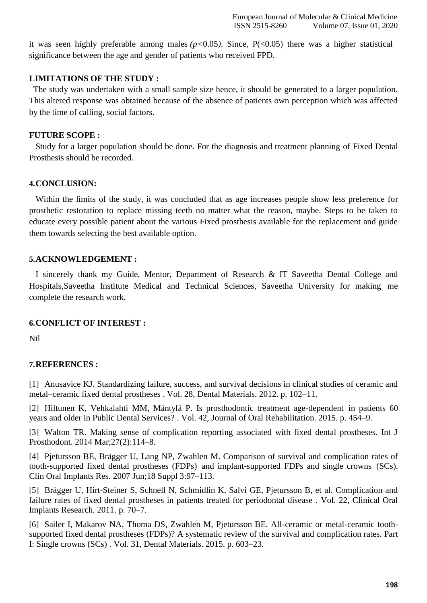it was seen highly preferable among males  $(p<0.05)$ . Since,  $P(<0.05)$  there was a higher statistical significance between the age and gender of patients who received FPD.

# **LIMITATIONS OF THE STUDY :**

The study was undertaken with a small sample size hence, it should be generated to a larger population. This altered response was obtained because of the absence of patients own perception which was affected by the time of calling, social factors.

## **FUTURE SCOPE :**

Study for a larger population should be done. For the diagnosis and treatment planning of Fixed Dental Prosthesis should be recorded.

## **4.CONCLUSION:**

Within the limits of the study, it was concluded that as age increases people show less preference for prosthetic restoration to replace missing teeth no matter what the reason, maybe. Steps to be taken to educate every possible patient about the various Fixed prosthesis available for the replacement and guide them towards selecting the best available option.

# **5.ACKNOWLEDGEMENT :**

I sincerely thank my Guide, Mentor, Department of Research & IT Saveetha Dental College and Hospitals,Saveetha Institute Medical and Technical Sciences, Saveetha University for making me complete the research work.

# **6.CONFLICT OF INTEREST :**

Nil

# **7.REFERENCES :**

[1] [Anusavice KJ. Standardizing failure, success, and survival decisions in clinical studies of ceramic and](http://paperpile.com/b/eiZwGE/m4RM) metal–ceramic fixed dental prostheses . Vol. 28, Dental [Materials. 2012. p. 102–11.](http://paperpile.com/b/eiZwGE/m4RM)

[2] Hiltunen K, Vehkalahti [MM, Mäntylä P. Is prosthodontic treatment age-dependent](http://paperpile.com/b/eiZwGE/ZfPF) in patients 60 years and older in Public Dental Services? . Vol. 42, Journal of Oral [Rehabilitation. 2015.](http://paperpile.com/b/eiZwGE/ZfPF) p. 454–9.

[3] [Walton TR. Making sense of complication reporting associated with fixed dental prostheses. Int J](http://paperpile.com/b/eiZwGE/YKNF) Prosthodont. 2014 [Mar;27\(2\):114–8.](http://paperpile.com/b/eiZwGE/YKNF)

[4] [Pjetursson BE, Brägger U, Lang NP, Zwahlen M. Comparison of survival and complication rates of](http://paperpile.com/b/eiZwGE/88cZ) tooth-supported fixed dental prostheses (FDPs) [and implant-supported FDPs and single crowns](http://paperpile.com/b/eiZwGE/88cZ) (SCs). Clin Oral Implants Res. 2007 Jun;18 [Suppl 3:97–113.](http://paperpile.com/b/eiZwGE/88cZ)

[5] [Brägger U, Hirt-Steiner S, Schnell N, Schmidlin K, Salvi GE, Pjetursson B, et al. Complication and](http://paperpile.com/b/eiZwGE/EPUU) [failure rates of fixed dental prostheses in patients treated for periodontal disease](http://paperpile.com/b/eiZwGE/EPUU) . Vol. 22, Clinical Oral Implants [Research. 2011.](http://paperpile.com/b/eiZwGE/EPUU) p. 70–7.

[6] [Sailer I, Makarov NA, Thoma DS, Zwahlen M, Pjetursson BE. All-ceramic or metal-ceramic tooth](http://paperpile.com/b/eiZwGE/DPq6)[supported fixed dental prostheses \(FDPs\)? A systematic review of the survival and complication rates. Part](http://paperpile.com/b/eiZwGE/DPq6) I: Single crowns (SCs) [. Vol. 31, Dental Materials. 2015.](http://paperpile.com/b/eiZwGE/DPq6) p. 603–23.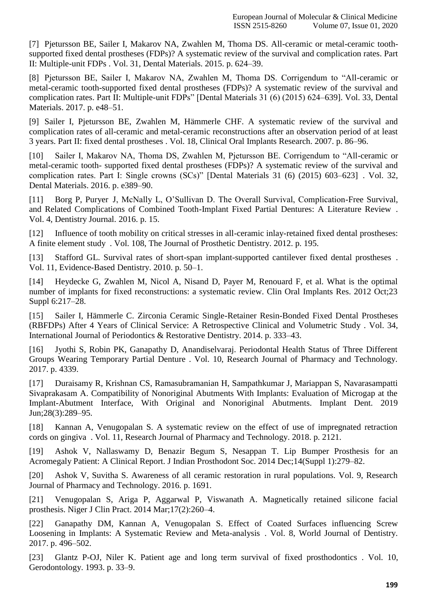[7] [Pjetursson BE, Sailer I, Makarov NA, Zwahlen M, Thoma DS. All-ceramic or metal-ceramic tooth](http://paperpile.com/b/eiZwGE/RQVB)[supported fixed dental prostheses \(FDPs\)? A systematic review of the survival and complication rates. Part](http://paperpile.com/b/eiZwGE/RQVB) II: Multiple-unit FDPs [. Vol. 31, Dental Materials. 2015. p. 624–39.](http://paperpile.com/b/eiZwGE/RQVB)

[8] [Pjetursson BE, Sailer I, Makarov NA, Zwahlen M, Thoma DS. Corrigendum to "All-ceramic or](http://paperpile.com/b/eiZwGE/whpW) [metal-ceramic tooth-supported fixed dental prostheses \(FDPs\)? A systematic review of the survival and](http://paperpile.com/b/eiZwGE/whpW) [complication rates. Part II: Multiple-unit FDPs" \[Dental Materials 31 \(6\) \(2015\) 624–639\]. Vol. 33, Dental](http://paperpile.com/b/eiZwGE/whpW) Materials. [2017. p. e48–51.](http://paperpile.com/b/eiZwGE/whpW)

[9] Sailer I, Pjetursson BE, Zwahlen M, [Hämmerle](http://paperpile.com/b/eiZwGE/jyMD) CHF. A systematic review of the survival and complication rates of all-ceramic and metal-ceramic [reconstructions](http://paperpile.com/b/eiZwGE/jyMD) after an observation period of at least 3 years. Part II: fixed dental prostheses . Vol. 18, Clinical Oral Implants [Research. 2007.](http://paperpile.com/b/eiZwGE/jyMD) p. 86–96.

[10] [Sailer I, Makarov NA, Thoma DS, Zwahlen M, Pjetursson BE. Corrigendum to "All-ceramic or](http://paperpile.com/b/eiZwGE/eZmG) metal-ceramic tooth- [supported fixed dental prostheses \(FDPs\)? A systematic review of the survival and](http://paperpile.com/b/eiZwGE/eZmG) [complication rates. Part I: Single crowns \(SCs\)" \[Dental](http://paperpile.com/b/eiZwGE/eZmG) Materials 31 (6) (2015) 603–623] . Vol. 32, Dental [Materials. 2016. p. e389–90.](http://paperpile.com/b/eiZwGE/eZmG)

[11] Borg P, Puryer [J, McNally L, O'Sullivan D. The Overall Survival, Complication-Free Survival,](http://paperpile.com/b/eiZwGE/iFoj) [and Related Complications of Combined Tooth-Implant Fixed Partial Dentures: A Literature Review](http://paperpile.com/b/eiZwGE/iFoj) . [Vol. 4, Dentistry](http://paperpile.com/b/eiZwGE/iFoj) Journal. 2016. p. 15.

[12] [Influence of tooth mobility on critical stresses in all-ceramic inlay-retained fixed dental prostheses:](http://paperpile.com/b/eiZwGE/3t3y) A finite element study . Vol. 108, The [Journal of Prosthetic](http://paperpile.com/b/eiZwGE/3t3y) Dentistry. 2012. p. 195.

[13] [Stafford GL. Survival rates of short-span implant-supported cantilever fixed dental prostheses](http://paperpile.com/b/eiZwGE/6RpB) . Vol. 11, Evidence-Based [Dentistry. 2010. p. 50–1.](http://paperpile.com/b/eiZwGE/6RpB)

[14] [Heydecke G, Zwahlen M, Nicol A, Nisand D, Payer M, Renouard F, et al. What is the optimal](http://paperpile.com/b/eiZwGE/keut) [number of implants for fixed reconstructions: a systematic review. Clin Oral Implants Res. 2012 Oct;23](http://paperpile.com/b/eiZwGE/keut) [Suppl 6:217–28.](http://paperpile.com/b/eiZwGE/keut)

[15] [Sailer I, Hämmerle C. Zirconia Ceramic Single-Retainer Resin-Bonded Fixed Dental Prostheses](http://paperpile.com/b/eiZwGE/ciP6) [\(RBFDPs\) After 4 Years of Clinical Service: A Retrospective Clinical and Volumetric Study](http://paperpile.com/b/eiZwGE/ciP6) . Vol. 34, International Journal of Periodontics & Restorative [Dentistry. 2014. p. 333–43.](http://paperpile.com/b/eiZwGE/ciP6)

[16] [Jyothi S, Robin PK, Ganapathy D, Anandiselvaraj. Periodontal Health Status of Three Different](http://paperpile.com/b/eiZwGE/mgXY) Groups Wearing Temporary Partial Denture [. Vol. 10, Research Journal of Pharmacy and Technology.](http://paperpile.com/b/eiZwGE/mgXY) [2017. p. 4339.](http://paperpile.com/b/eiZwGE/mgXY)

[17] [Duraisamy R, Krishnan CS, Ramasubramanian H, Sampathkumar J, Mariappan S, Navarasampatti](http://paperpile.com/b/eiZwGE/pCHy) [Sivaprakasam A. Compatibility of Nonoriginal Abutments With Implants: Evaluation of Microgap at the](http://paperpile.com/b/eiZwGE/pCHy) [Implant-Abutment](http://paperpile.com/b/eiZwGE/pCHy) Interface, With Original and Nonoriginal Abutments. Implant Dent. 2019 [Jun;28\(3\):289–95.](http://paperpile.com/b/eiZwGE/pCHy)

[18] [Kannan A, Venugopalan S. A systematic review on the effect of use of impregnated retraction](http://paperpile.com/b/eiZwGE/NlD8) cords on gingiva . Vol. [11, Research Journal of Pharmacy](http://paperpile.com/b/eiZwGE/NlD8) and Technology. 2018. p. 2121.

[19] Ashok V, [Nallaswamy](http://paperpile.com/b/eiZwGE/STHg) D, Benazir Begum S, Nesappan T. Lip Bumper Prosthesis for an Acromegaly Patient: A Clinical Report. J Indian Prosthodont [Soc. 2014 Dec;14\(Suppl](http://paperpile.com/b/eiZwGE/STHg) 1):279–82.

[20] [Ashok V, Suvitha S. Awareness of all ceramic restoration](http://paperpile.com/b/eiZwGE/YVv2) in rural populations. Vol. 9, Research Journal of Pharmacy and [Technology. 2016. p. 1691.](http://paperpile.com/b/eiZwGE/YVv2)

[21] [Venugopalan](http://paperpile.com/b/eiZwGE/hA9a) S, Ariga P, Aggarwal P, Viswanath A. Magnetically retained silicone facial prosthesis. Niger J [Clin Pract. 2014 Mar;17\(2\):260–4.](http://paperpile.com/b/eiZwGE/hA9a)

[22] Ganapathy DM, Kannan A, [Venugopalan](http://paperpile.com/b/eiZwGE/9pF0) S. Effect of Coated Surfaces influencing Screw [Loosening in Implants: A Systematic Review and Meta-analysis](http://paperpile.com/b/eiZwGE/9pF0) . Vol. 8, World Journal of Dentistry. [2017. p. 496–502.](http://paperpile.com/b/eiZwGE/9pF0)

[23] Glantz [P-OJ, Niler K. Patient age and long term survival of fixed prosthodontics](http://paperpile.com/b/eiZwGE/guE9) . Vol. 10, [Gerodontology.](http://paperpile.com/b/eiZwGE/guE9) 1993. p. 33–9.